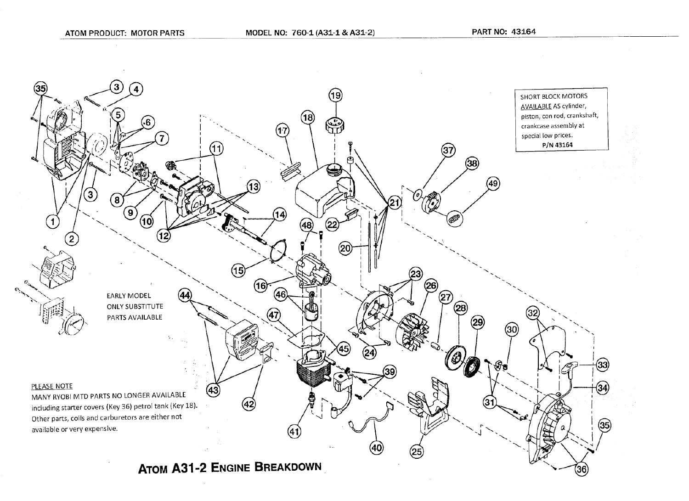